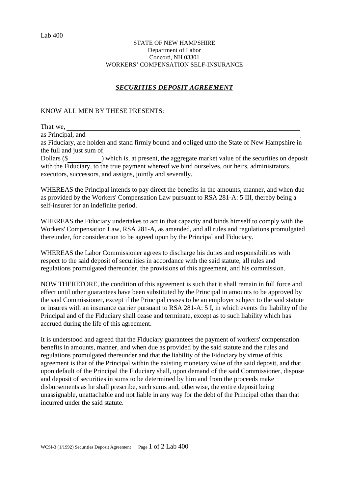## STATE OF NEW HAMPSHIRE Department of Labor Concord, NH 03301 WORKERS' COMPENSATION SELF-INSURANCE

## *SECURITIES DEPOSIT AGREEMENT*

## KNOW ALL MEN BY THESE PRESENTS:

That we,

as Principal, and

as Fiduciary, are holden and stand firmly bound and obliged unto the State of New Hampshire in the full and just sum of

Dollars (\$ ) which is, at present, the aggregate market value of the securities on deposit with the Fiduciary, to the true payment whereof we bind ourselves, our heirs, administrators, executors, successors, and assigns, jointly and severally.

WHEREAS the Principal intends to pay direct the benefits in the amounts, manner, and when due as provided by the Workers' Compensation Law pursuant to RSA 281-A: 5 III, thereby being a self-insurer for an indefinite period.

WHEREAS the Fiduciary undertakes to act in that capacity and binds himself to comply with the Workers' Compensation Law, RSA 281-A, as amended, and all rules and regulations promulgated thereunder, for consideration to be agreed upon by the Principal and Fiduciary.

WHEREAS the Labor Commissioner agrees to discharge his duties and responsibilities with respect to the said deposit of securities in accordance with the said statute, all rules and regulations promulgated thereunder, the provisions of this agreement, and his commission.

NOW THEREFORE, the condition of this agreement is such that it shall remain in full force and effect until other guarantees have been substituted by the Principal in amounts to be approved by the said Commissioner, except if the Principal ceases to be an employer subject to the said statute or insures with an insurance carrier pursuant to RSA 281-A: 5 I, in which events the liability of the Principal and of the Fiduciary shall cease and terminate, except as to such liability which has accrued during the life of this agreement.

It is understood and agreed that the Fiduciary guarantees the payment of workers' compensation benefits in amounts, manner, and when due as provided by the said statute and the rules and regulations promulgated thereunder and that the liability of the Fiduciary by virtue of this agreement is that of the Principal within the existing monetary value of the said deposit, and that upon default of the Principal the Fiduciary shall, upon demand of the said Commissioner, dispose and deposit of securities in sums to be determined by him and from the proceeds make disbursements as he shall prescribe, such sums and, otherwise, the entire deposit being unassignable, unattachable and not liable in any way for the debt of the Principal other than that incurred under the said statute.